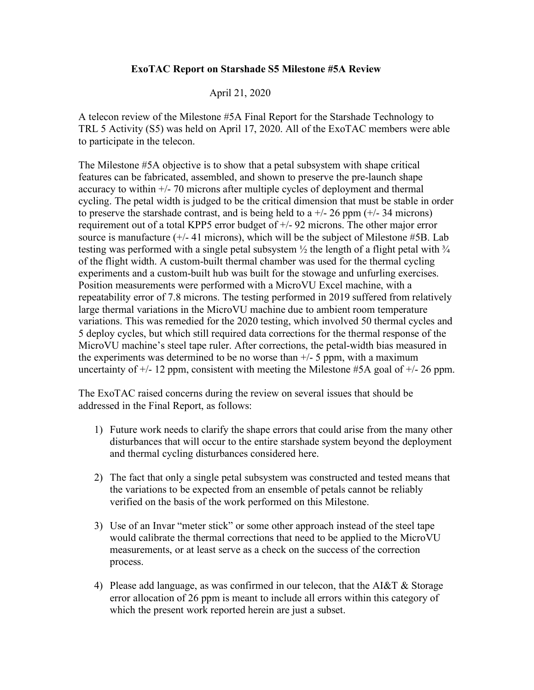## **ExoTAC Report on Starshade S5 Milestone #5A Review**

## April 21, 2020

A telecon review of the Milestone #5A Final Report for the Starshade Technology to TRL 5 Activity (S5) was held on April 17, 2020. All of the ExoTAC members were able to participate in the telecon.

The Milestone #5A objective is to show that a petal subsystem with shape critical features can be fabricated, assembled, and shown to preserve the pre-launch shape accuracy to within +/- 70 microns after multiple cycles of deployment and thermal cycling. The petal width is judged to be the critical dimension that must be stable in order to preserve the starshade contrast, and is being held to a  $+/- 26$  ppm  $(+/- 34$  microns) requirement out of a total KPP5 error budget of +/- 92 microns. The other major error source is manufacture  $(+/- 41$  microns), which will be the subject of Milestone #5B. Lab testing was performed with a single petal subsystem  $\frac{1}{2}$  the length of a flight petal with  $\frac{3}{4}$ of the flight width. A custom-built thermal chamber was used for the thermal cycling experiments and a custom-built hub was built for the stowage and unfurling exercises. Position measurements were performed with a MicroVU Excel machine, with a repeatability error of 7.8 microns. The testing performed in 2019 suffered from relatively large thermal variations in the MicroVU machine due to ambient room temperature variations. This was remedied for the 2020 testing, which involved 50 thermal cycles and 5 deploy cycles, but which still required data corrections for the thermal response of the MicroVU machine's steel tape ruler. After corrections, the petal-width bias measured in the experiments was determined to be no worse than  $+/-$  5 ppm, with a maximum uncertainty of  $+/- 12$  ppm, consistent with meeting the Milestone #5A goal of  $+/- 26$  ppm.

The ExoTAC raised concerns during the review on several issues that should be addressed in the Final Report, as follows:

- 1) Future work needs to clarify the shape errors that could arise from the many other disturbances that will occur to the entire starshade system beyond the deployment and thermal cycling disturbances considered here.
- 2) The fact that only a single petal subsystem was constructed and tested means that the variations to be expected from an ensemble of petals cannot be reliably verified on the basis of the work performed on this Milestone.
- 3) Use of an Invar "meter stick" or some other approach instead of the steel tape would calibrate the thermal corrections that need to be applied to the MicroVU measurements, or at least serve as a check on the success of the correction process.
- 4) Please add language, as was confirmed in our telecon, that the AI&T & Storage error allocation of 26 ppm is meant to include all errors within this category of which the present work reported herein are just a subset.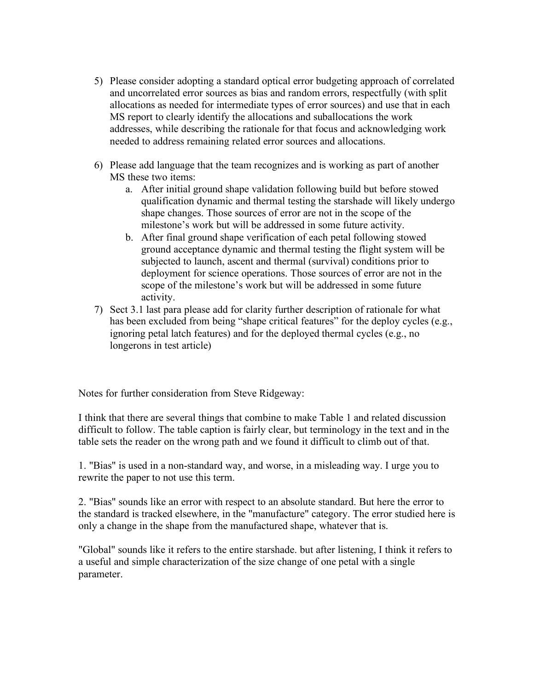- 5) Please consider adopting a standard optical error budgeting approach of correlated and uncorrelated error sources as bias and random errors, respectfully (with split allocations as needed for intermediate types of error sources) and use that in each MS report to clearly identify the allocations and suballocations the work addresses, while describing the rationale for that focus and acknowledging work needed to address remaining related error sources and allocations.
- 6) Please add language that the team recognizes and is working as part of another MS these two items:
	- a. After initial ground shape validation following build but before stowed qualification dynamic and thermal testing the starshade will likely undergo shape changes. Those sources of error are not in the scope of the milestone's work but will be addressed in some future activity.
	- b. After final ground shape verification of each petal following stowed ground acceptance dynamic and thermal testing the flight system will be subjected to launch, ascent and thermal (survival) conditions prior to deployment for science operations. Those sources of error are not in the scope of the milestone's work but will be addressed in some future activity.
- 7) Sect 3.1 last para please add for clarity further description of rationale for what has been excluded from being "shape critical features" for the deploy cycles (e.g., ignoring petal latch features) and for the deployed thermal cycles (e.g., no longerons in test article)

Notes for further consideration from Steve Ridgeway:

I think that there are several things that combine to make Table 1 and related discussion difficult to follow. The table caption is fairly clear, but terminology in the text and in the table sets the reader on the wrong path and we found it difficult to climb out of that.

1. "Bias" is used in a non-standard way, and worse, in a misleading way. I urge you to rewrite the paper to not use this term.

2. "Bias" sounds like an error with respect to an absolute standard. But here the error to the standard is tracked elsewhere, in the "manufacture" category. The error studied here is only a change in the shape from the manufactured shape, whatever that is.

"Global" sounds like it refers to the entire starshade. but after listening, I think it refers to a useful and simple characterization of the size change of one petal with a single parameter.